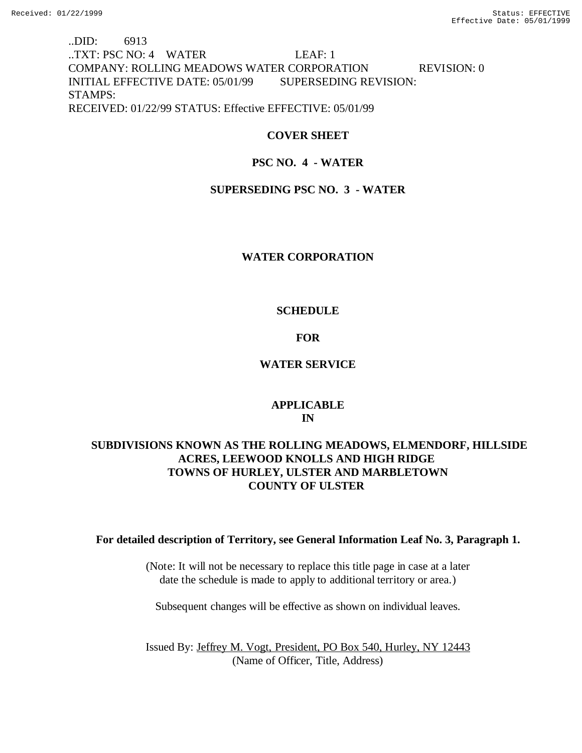# ..DID: 6913 ..TXT: PSC NO: 4 WATER LEAF: 1 COMPANY: ROLLING MEADOWS WATER CORPORATION REVISION: 0 INITIAL EFFECTIVE DATE: 05/01/99 SUPERSEDING REVISION: STAMPS: RECEIVED: 01/22/99 STATUS: Effective EFFECTIVE: 05/01/99

## **COVER SHEET**

## **PSC NO. 4 - WATER**

## **SUPERSEDING PSC NO. 3 - WATER**

## **WATER CORPORATION**

## **SCHEDULE**

## **FOR**

## **WATER SERVICE**

## **APPLICABLE IN**

# **SUBDIVISIONS KNOWN AS THE ROLLING MEADOWS, ELMENDORF, HILLSIDE ACRES, LEEWOOD KNOLLS AND HIGH RIDGE TOWNS OF HURLEY, ULSTER AND MARBLETOWN COUNTY OF ULSTER**

### **For detailed description of Territory, see General Information Leaf No. 3, Paragraph 1.**

(Note: It will not be necessary to replace this title page in case at a later date the schedule is made to apply to additional territory or area.)

Subsequent changes will be effective as shown on individual leaves.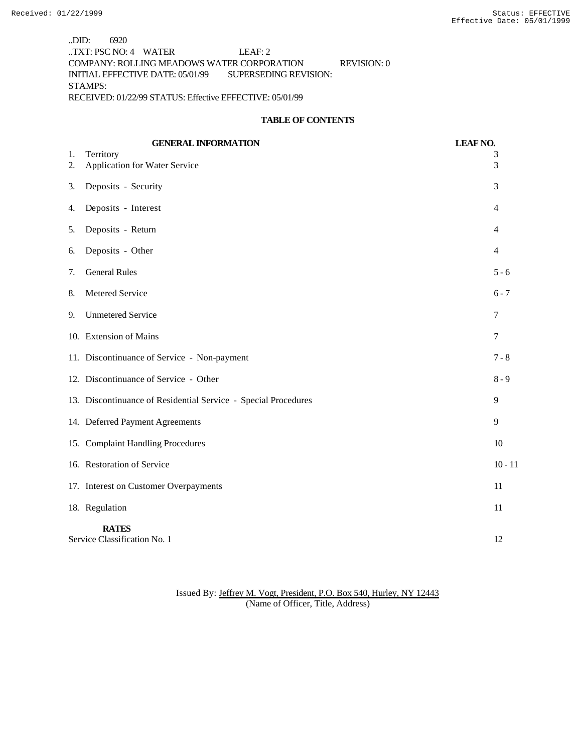..DID: 6920 ..TXT: PSC NO: 4 WATER LEAF: 2 COMPANY: ROLLING MEADOWS WATER CORPORATION REVISION: 0 INITIAL EFFECTIVE DATE: 05/01/99 SUPERSEDING REVISION: STAMPS: RECEIVED: 01/22/99 STATUS: Effective EFFECTIVE: 05/01/99

#### **TABLE OF CONTENTS**

|          | <b>GENERAL INFORMATION</b>                                     | <b>LEAF NO.</b> |
|----------|----------------------------------------------------------------|-----------------|
| 1.<br>2. | Territory<br>Application for Water Service                     | 3<br>3          |
| 3.       | Deposits - Security                                            | 3               |
| 4.       | Deposits - Interest                                            | $\overline{4}$  |
| 5.       | Deposits - Return                                              | 4               |
| 6.       | Deposits - Other                                               | 4               |
| 7.       | <b>General Rules</b>                                           | $5 - 6$         |
| 8.       | Metered Service                                                | $6 - 7$         |
| 9.       | <b>Unmetered Service</b>                                       | 7               |
|          | 10. Extension of Mains                                         | $\tau$          |
|          | 11. Discontinuance of Service - Non-payment                    | $7 - 8$         |
|          | 12. Discontinuance of Service - Other                          | $8 - 9$         |
|          | 13. Discontinuance of Residential Service - Special Procedures | 9               |
|          | 14. Deferred Payment Agreements                                | 9               |
|          | 15. Complaint Handling Procedures                              | 10              |
|          | 16. Restoration of Service                                     | $10 - 11$       |
|          | 17. Interest on Customer Overpayments                          | 11              |
|          | 18. Regulation                                                 | 11              |
|          | <b>RATES</b><br>Service Classification No. 1                   | 12              |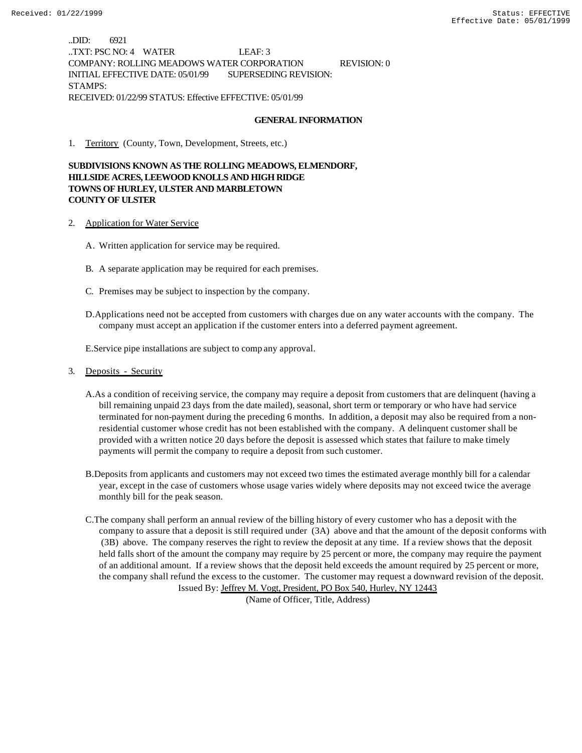..DID: 6921 ..TXT: PSC NO: 4 WATER LEAF: 3 COMPANY: ROLLING MEADOWS WATER CORPORATION REVISION: 0 INITIAL EFFECTIVE DATE: 05/01/99 SUPERSEDING REVISION: STAMPS: RECEIVED: 01/22/99 STATUS: Effective EFFECTIVE: 05/01/99

#### **GENERAL INFORMATION**

1. Territory (County, Town, Development, Streets, etc.)

**SUBDIVISIONS KNOWN AS THE ROLLING MEADOWS, ELMENDORF, HILLSIDE ACRES, LEEWOOD KNOLLS AND HIGH RIDGE TOWNS OF HURLEY, ULSTER AND MARBLETOWN COUNTY OF ULSTER**

- 2. Application for Water Service
	- A. Written application for service may be required.
	- B. A separate application may be required for each premises.
	- C. Premises may be subject to inspection by the company.
	- D.Applications need not be accepted from customers with charges due on any water accounts with the company. The company must accept an application if the customer enters into a deferred payment agreement.

E.Service pipe installations are subject to comp any approval.

#### 3. Deposits - Security

- A.As a condition of receiving service, the company may require a deposit from customers that are delinquent (having a bill remaining unpaid 23 days from the date mailed), seasonal, short term or temporary or who have had service terminated for non-payment during the preceding 6 months. In addition, a deposit may also be required from a nonresidential customer whose credit has not been established with the company. A delinquent customer shall be provided with a written notice 20 days before the deposit is assessed which states that failure to make timely payments will permit the company to require a deposit from such customer.
- B.Deposits from applicants and customers may not exceed two times the estimated average monthly bill for a calendar year, except in the case of customers whose usage varies widely where deposits may not exceed twice the average monthly bill for the peak season.
- C.The company shall perform an annual review of the billing history of every customer who has a deposit with the company to assure that a deposit is still required under (3A) above and that the amount of the deposit conforms with (3B) above. The company reserves the right to review the deposit at any time. If a review shows that the deposit held falls short of the amount the company may require by 25 percent or more, the company may require the payment of an additional amount. If a review shows that the deposit held exceeds the amount required by 25 percent or more, the company shall refund the excess to the customer. The customer may request a downward revision of the deposit. Issued By: Jeffrey M. Vogt, President, PO Box 540, Hurley, NY 12443

(Name of Officer, Title, Address)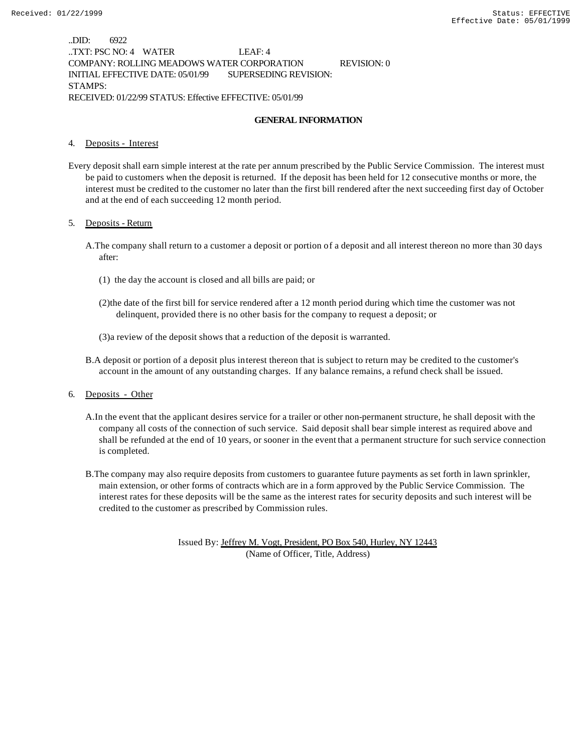..DID: 6922 ..TXT: PSC NO: 4 WATER LEAF: 4 COMPANY: ROLLING MEADOWS WATER CORPORATION REVISION: 0 INITIAL EFFECTIVE DATE: 05/01/99 SUPERSEDING REVISION: STAMPS: RECEIVED: 01/22/99 STATUS: Effective EFFECTIVE: 05/01/99

#### **GENERAL INFORMATION**

#### 4. Deposits - Interest

Every deposit shall earn simple interest at the rate per annum prescribed by the Public Service Commission. The interest must be paid to customers when the deposit is returned. If the deposit has been held for 12 consecutive months or more, the interest must be credited to the customer no later than the first bill rendered after the next succeeding first day of October and at the end of each succeeding 12 month period.

#### 5. Deposits - Return

- A.The company shall return to a customer a deposit or portion of a deposit and all interest thereon no more than 30 days after:
	- (1) the day the account is closed and all bills are paid; or
	- (2)the date of the first bill for service rendered after a 12 month period during which time the customer was not delinquent, provided there is no other basis for the company to request a deposit; or
	- (3)a review of the deposit shows that a reduction of the deposit is warranted.
- B.A deposit or portion of a deposit plus interest thereon that is subject to return may be credited to the customer's account in the amount of any outstanding charges. If any balance remains, a refund check shall be issued.
- 6. Deposits Other
	- A.In the event that the applicant desires service for a trailer or other non-permanent structure, he shall deposit with the company all costs of the connection of such service. Said deposit shall bear simple interest as required above and shall be refunded at the end of 10 years, or sooner in the event that a permanent structure for such service connection is completed.
	- B.The company may also require deposits from customers to guarantee future payments as set forth in lawn sprinkler, main extension, or other forms of contracts which are in a form approved by the Public Service Commission. The interest rates for these deposits will be the same as the interest rates for security deposits and such interest will be credited to the customer as prescribed by Commission rules.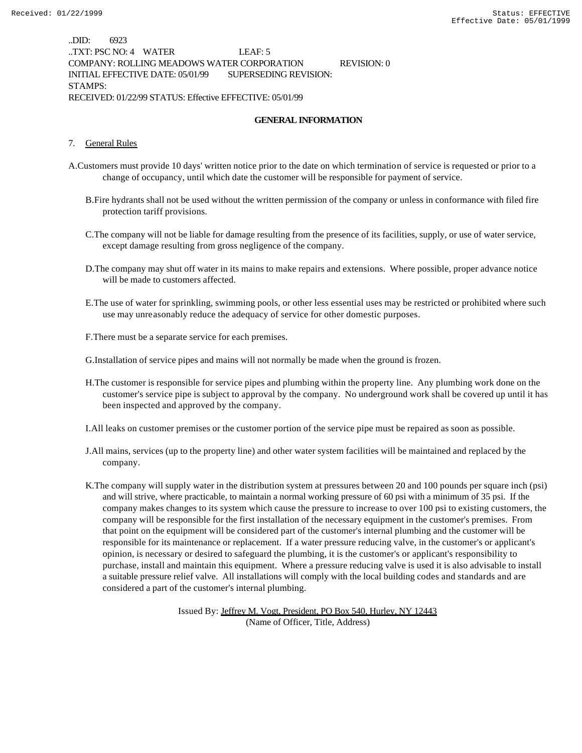..DID: 6923 ..TXT: PSC NO: 4 WATER LEAF: 5 COMPANY: ROLLING MEADOWS WATER CORPORATION REVISION: 0 INITIAL EFFECTIVE DATE: 05/01/99 SUPERSEDING REVISION: STAMPS: RECEIVED: 01/22/99 STATUS: Effective EFFECTIVE: 05/01/99

#### **GENERAL INFORMATION**

#### 7. General Rules

- A.Customers must provide 10 days' written notice prior to the date on which termination of service is requested or prior to a change of occupancy, until which date the customer will be responsible for payment of service.
	- B.Fire hydrants shall not be used without the written permission of the company or unless in conformance with filed fire protection tariff provisions.
	- C.The company will not be liable for damage resulting from the presence of its facilities, supply, or use of water service, except damage resulting from gross negligence of the company.
	- D.The company may shut off water in its mains to make repairs and extensions. Where possible, proper advance notice will be made to customers affected.
	- E.The use of water for sprinkling, swimming pools, or other less essential uses may be restricted or prohibited where such use may unreasonably reduce the adequacy of service for other domestic purposes.
	- F.There must be a separate service for each premises.

G.Installation of service pipes and mains will not normally be made when the ground is frozen.

H.The customer is responsible for service pipes and plumbing within the property line. Any plumbing work done on the customer's service pipe is subject to approval by the company. No underground work shall be covered up until it has been inspected and approved by the company.

I.All leaks on customer premises or the customer portion of the service pipe must be repaired as soon as possible.

- J.All mains, services (up to the property line) and other water system facilities will be maintained and replaced by the company.
- K.The company will supply water in the distribution system at pressures between 20 and 100 pounds per square inch (psi) and will strive, where practicable, to maintain a normal working pressure of 60 psi with a minimum of 35 psi. If the company makes changes to its system which cause the pressure to increase to over 100 psi to existing customers, the company will be responsible for the first installation of the necessary equipment in the customer's premises. From that point on the equipment will be considered part of the customer's internal plumbing and the customer will be responsible for its maintenance or replacement. If a water pressure reducing valve, in the customer's or applicant's opinion, is necessary or desired to safeguard the plumbing, it is the customer's or applicant's responsibility to purchase, install and maintain this equipment. Where a pressure reducing valve is used it is also advisable to install a suitable pressure relief valve. All installations will comply with the local building codes and standards and are considered a part of the customer's internal plumbing.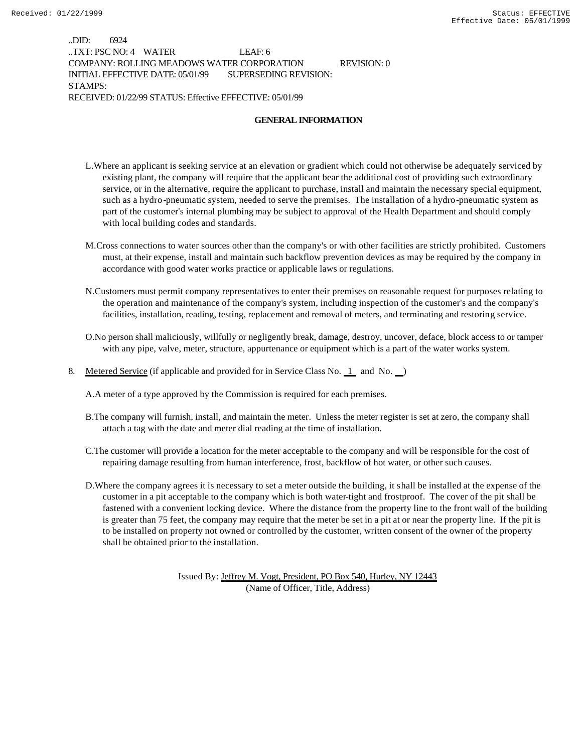..DID: 6924 ..TXT: PSC NO: 4 WATER LEAF: 6 COMPANY: ROLLING MEADOWS WATER CORPORATION REVISION: 0 INITIAL EFFECTIVE DATE: 05/01/99 SUPERSEDING REVISION: STAMPS: RECEIVED: 01/22/99 STATUS: Effective EFFECTIVE: 05/01/99

#### **GENERAL INFORMATION**

- L.Where an applicant is seeking service at an elevation or gradient which could not otherwise be adequately serviced by existing plant, the company will require that the applicant bear the additional cost of providing such extraordinary service, or in the alternative, require the applicant to purchase, install and maintain the necessary special equipment, such as a hydro-pneumatic system, needed to serve the premises. The installation of a hydro-pneumatic system as part of the customer's internal plumbing may be subject to approval of the Health Department and should comply with local building codes and standards.
- M.Cross connections to water sources other than the company's or with other facilities are strictly prohibited. Customers must, at their expense, install and maintain such backflow prevention devices as may be required by the company in accordance with good water works practice or applicable laws or regulations.
- N.Customers must permit company representatives to enter their premises on reasonable request for purposes relating to the operation and maintenance of the company's system, including inspection of the customer's and the company's facilities, installation, reading, testing, replacement and removal of meters, and terminating and restoring service.
- O.No person shall maliciously, willfully or negligently break, damage, destroy, uncover, deface, block access to or tamper with any pipe, valve, meter, structure, appurtenance or equipment which is a part of the water works system.
- 8. Metered Service (if applicable and provided for in Service Class No. 1 and No. )

A.A meter of a type approved by the Commission is required for each premises.

- B.The company will furnish, install, and maintain the meter. Unless the meter register is set at zero, the company shall attach a tag with the date and meter dial reading at the time of installation.
- C.The customer will provide a location for the meter acceptable to the company and will be responsible for the cost of repairing damage resulting from human interference, frost, backflow of hot water, or other such causes.
- D.Where the company agrees it is necessary to set a meter outside the building, it shall be installed at the expense of the customer in a pit acceptable to the company which is both water-tight and frostproof. The cover of the pit shall be fastened with a convenient locking device. Where the distance from the property line to the front wall of the building is greater than 75 feet, the company may require that the meter be set in a pit at or near the property line. If the pit is to be installed on property not owned or controlled by the customer, written consent of the owner of the property shall be obtained prior to the installation.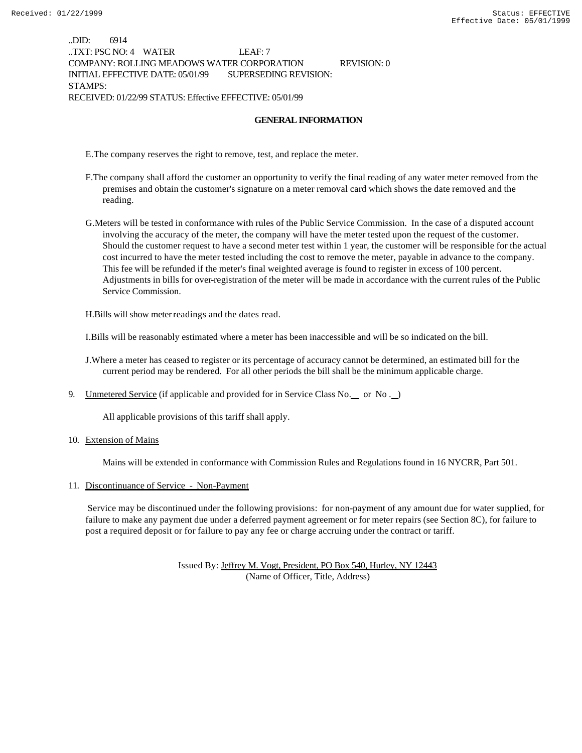..DID: 6914 ..TXT: PSC NO: 4 WATER LEAF: 7 COMPANY: ROLLING MEADOWS WATER CORPORATION REVISION: 0 INITIAL EFFECTIVE DATE: 05/01/99 SUPERSEDING REVISION: STAMPS: RECEIVED: 01/22/99 STATUS: Effective EFFECTIVE: 05/01/99

#### **GENERAL INFORMATION**

E.The company reserves the right to remove, test, and replace the meter.

- F.The company shall afford the customer an opportunity to verify the final reading of any water meter removed from the premises and obtain the customer's signature on a meter removal card which shows the date removed and the reading.
- G.Meters will be tested in conformance with rules of the Public Service Commission. In the case of a disputed account involving the accuracy of the meter, the company will have the meter tested upon the request of the customer. Should the customer request to have a second meter test within 1 year, the customer will be responsible for the actual cost incurred to have the meter tested including the cost to remove the meter, payable in advance to the company. This fee will be refunded if the meter's final weighted average is found to register in excess of 100 percent. Adjustments in bills for over-registration of the meter will be made in accordance with the current rules of the Public Service Commission.

H.Bills will show meter readings and the dates read.

I.Bills will be reasonably estimated where a meter has been inaccessible and will be so indicated on the bill.

J.Where a meter has ceased to register or its percentage of accuracy cannot be determined, an estimated bill for the current period may be rendered. For all other periods the bill shall be the minimum applicable charge.

9. Unmetered Service (if applicable and provided for in Service Class No. \_ or No. \_)

All applicable provisions of this tariff shall apply.

10. Extension of Mains

Mains will be extended in conformance with Commission Rules and Regulations found in 16 NYCRR, Part 501.

#### 11. Discontinuance of Service - Non-Payment

 Service may be discontinued under the following provisions: for non-payment of any amount due for water supplied, for failure to make any payment due under a deferred payment agreement or for meter repairs (see Section 8C), for failure to post a required deposit or for failure to pay any fee or charge accruing under the contract or tariff.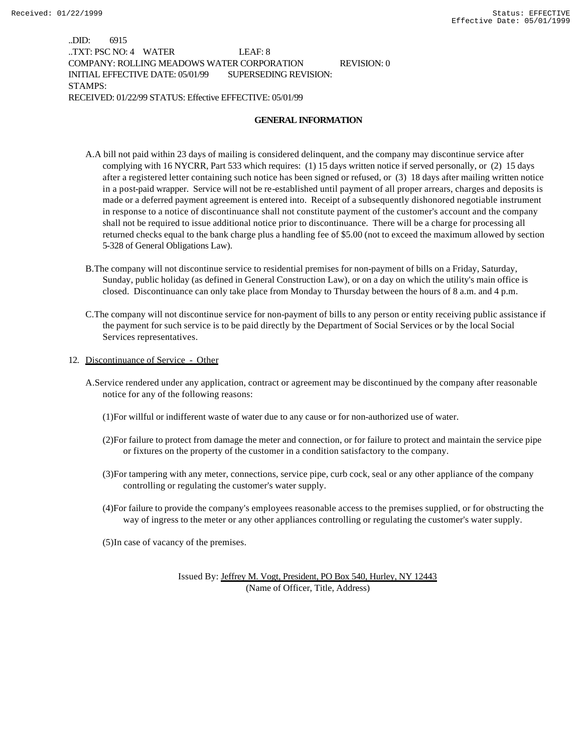..DID: 6915 ..TXT: PSC NO: 4 WATER LEAF: 8 COMPANY: ROLLING MEADOWS WATER CORPORATION REVISION: 0 INITIAL EFFECTIVE DATE: 05/01/99 SUPERSEDING REVISION: STAMPS: RECEIVED: 01/22/99 STATUS: Effective EFFECTIVE: 05/01/99

#### **GENERAL INFORMATION**

- A.A bill not paid within 23 days of mailing is considered delinquent, and the company may discontinue service after complying with 16 NYCRR, Part 533 which requires: (1) 15 days written notice if served personally, or (2) 15 days after a registered letter containing such notice has been signed or refused, or (3) 18 days after mailing written notice in a post-paid wrapper. Service will not be re-established until payment of all proper arrears, charges and deposits is made or a deferred payment agreement is entered into. Receipt of a subsequently dishonored negotiable instrument in response to a notice of discontinuance shall not constitute payment of the customer's account and the company shall not be required to issue additional notice prior to discontinuance. There will be a charge for processing all returned checks equal to the bank charge plus a handling fee of \$5.00 (not to exceed the maximum allowed by section 5-328 of General Obligations Law).
- B.The company will not discontinue service to residential premises for non-payment of bills on a Friday, Saturday, Sunday, public holiday (as defined in General Construction Law), or on a day on which the utility's main office is closed. Discontinuance can only take place from Monday to Thursday between the hours of 8 a.m. and 4 p.m.
- C.The company will not discontinue service for non-payment of bills to any person or entity receiving public assistance if the payment for such service is to be paid directly by the Department of Social Services or by the local Social Services representatives.
- 12. Discontinuance of Service Other
	- A.Service rendered under any application, contract or agreement may be discontinued by the company after reasonable notice for any of the following reasons:
		- (1)For willful or indifferent waste of water due to any cause or for non-authorized use of water.
		- (2)For failure to protect from damage the meter and connection, or for failure to protect and maintain the service pipe or fixtures on the property of the customer in a condition satisfactory to the company.
		- (3)For tampering with any meter, connections, service pipe, curb cock, seal or any other appliance of the company controlling or regulating the customer's water supply.
		- (4)For failure to provide the company's employees reasonable access to the premises supplied, or for obstructing the way of ingress to the meter or any other appliances controlling or regulating the customer's water supply.
		- (5)In case of vacancy of the premises.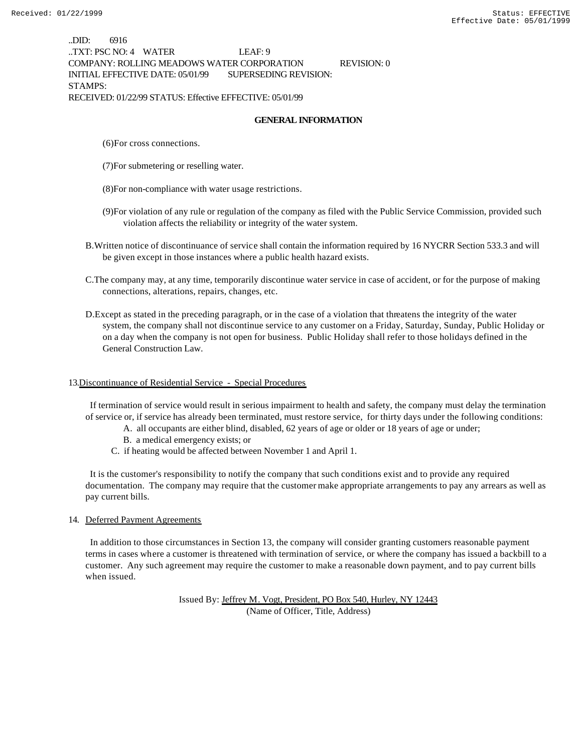..DID: 6916 ..TXT: PSC NO: 4 WATER LEAF: 9 COMPANY: ROLLING MEADOWS WATER CORPORATION REVISION: 0 INITIAL EFFECTIVE DATE: 05/01/99 SUPERSEDING REVISION: STAMPS: RECEIVED: 01/22/99 STATUS: Effective EFFECTIVE: 05/01/99

#### **GENERAL INFORMATION**

(6)For cross connections.

(7)For submetering or reselling water.

(8)For non-compliance with water usage restrictions.

- (9)For violation of any rule or regulation of the company as filed with the Public Service Commission, provided such violation affects the reliability or integrity of the water system.
- B.Written notice of discontinuance of service shall contain the information required by 16 NYCRR Section 533.3 and will be given except in those instances where a public health hazard exists.
- C.The company may, at any time, temporarily discontinue water service in case of accident, or for the purpose of making connections, alterations, repairs, changes, etc.
- D.Except as stated in the preceding paragraph, or in the case of a violation that threatens the integrity of the water system, the company shall not discontinue service to any customer on a Friday, Saturday, Sunday, Public Holiday or on a day when the company is not open for business. Public Holiday shall refer to those holidays defined in the General Construction Law.

#### 13.Discontinuance of Residential Service - Special Procedures

 If termination of service would result in serious impairment to health and safety, the company must delay the termination of service or, if service has already been terminated, must restore service, for thirty days under the following conditions:

- A. all occupants are either blind, disabled, 62 years of age or older or 18 years of age or under;
- B. a medical emergency exists; or
- C. if heating would be affected between November 1 and April 1.

 It is the customer's responsibility to notify the company that such conditions exist and to provide any required documentation. The company may require that the customer make appropriate arrangements to pay any arrears as well as pay current bills.

#### 14. Deferred Payment Agreements

 In addition to those circumstances in Section 13, the company will consider granting customers reasonable payment terms in cases where a customer is threatened with termination of service, or where the company has issued a backbill to a customer. Any such agreement may require the customer to make a reasonable down payment, and to pay current bills when issued.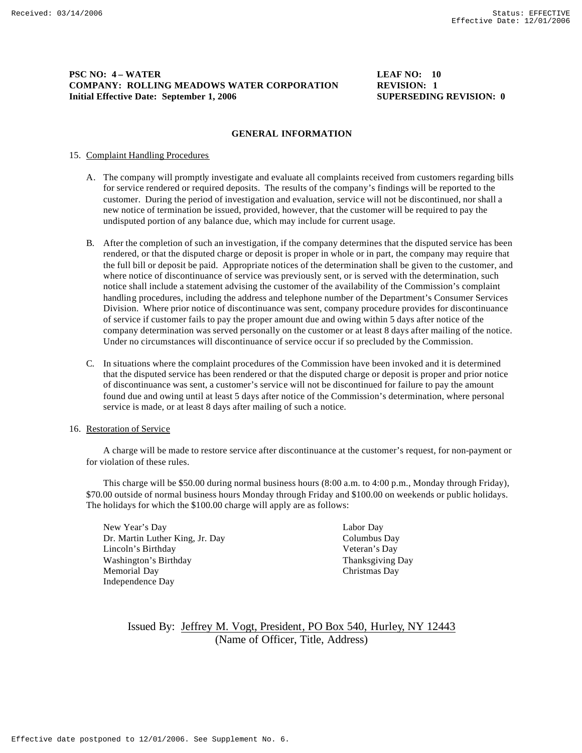#### **PSC NO: 4 – WATER LEAF NO: 10 COMPANY: ROLLING MEADOWS WATER CORPORATION REVISION: 1 Initial Effective Date: September 1, 2006 SUPERSEDING REVISION: 0**

#### **GENERAL INFORMATION**

#### 15. Complaint Handling Procedures

- A. The company will promptly investigate and evaluate all complaints received from customers regarding bills for service rendered or required deposits. The results of the company's findings will be reported to the customer. During the period of investigation and evaluation, service will not be discontinued, nor shall a new notice of termination be issued, provided, however, that the customer will be required to pay the undisputed portion of any balance due, which may include for current usage.
- B. After the completion of such an investigation, if the company determines that the disputed service has been rendered, or that the disputed charge or deposit is proper in whole or in part, the company may require that the full bill or deposit be paid. Appropriate notices of the determination shall be given to the customer, and where notice of discontinuance of service was previously sent, or is served with the determination, such notice shall include a statement advising the customer of the availability of the Commission's complaint handling procedures, including the address and telephone number of the Department's Consumer Services Division. Where prior notice of discontinuance was sent, company procedure provides for discontinuance of service if customer fails to pay the proper amount due and owing within 5 days after notice of the company determination was served personally on the customer or at least 8 days after mailing of the notice. Under no circumstances will discontinuance of service occur if so precluded by the Commission.
- C. In situations where the complaint procedures of the Commission have been invoked and it is determined that the disputed service has been rendered or that the disputed charge or deposit is proper and prior notice of discontinuance was sent, a customer's service will not be discontinued for failure to pay the amount found due and owing until at least 5 days after notice of the Commission's determination, where personal service is made, or at least 8 days after mailing of such a notice.

#### 16. Restoration of Service

A charge will be made to restore service after discontinuance at the customer's request, for non-payment or for violation of these rules.

This charge will be \$50.00 during normal business hours (8:00 a.m. to 4:00 p.m., Monday through Friday), \$70.00 outside of normal business hours Monday through Friday and \$100.00 on weekends or public holidays. The holidays for which the \$100.00 charge will apply are as follows:

New Year's Day Labor Day Dr. Martin Luther King, Jr. Day Columbus Day Lincoln's Birthday Veteran's Day Washington's Birthday Thanksgiving Day Memorial Day Christmas Day Independence Day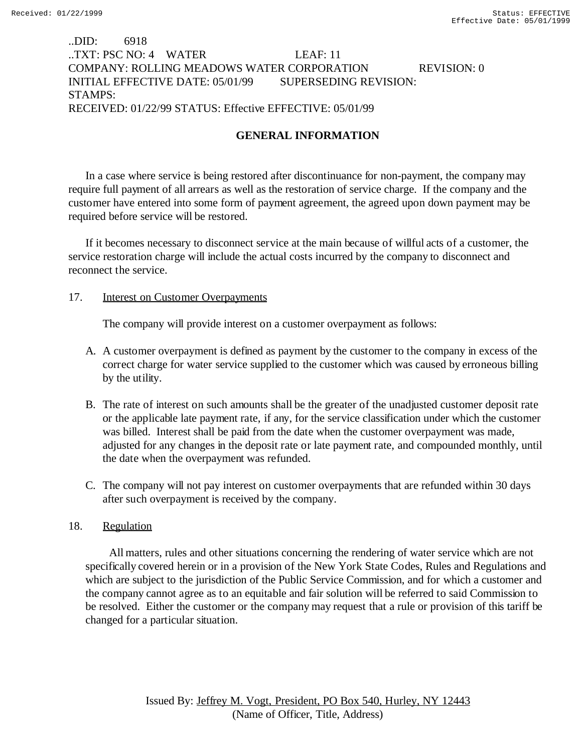# ..DID: 6918 ..TXT: PSC NO: 4 WATER LEAF: 11 COMPANY: ROLLING MEADOWS WATER CORPORATION REVISION: 0 INITIAL EFFECTIVE DATE: 05/01/99 SUPERSEDING REVISION: STAMPS: RECEIVED: 01/22/99 STATUS: Effective EFFECTIVE: 05/01/99

# **GENERAL INFORMATION**

In a case where service is being restored after discontinuance for non-payment, the company may require full payment of all arrears as well as the restoration of service charge. If the company and the customer have entered into some form of payment agreement, the agreed upon down payment may be required before service will be restored.

If it becomes necessary to disconnect service at the main because of willful acts of a customer, the service restoration charge will include the actual costs incurred by the company to disconnect and reconnect the service.

### 17. **Interest on Customer Overpayments**

The company will provide interest on a customer overpayment as follows:

- A. A customer overpayment is defined as payment by the customer to the company in excess of the correct charge for water service supplied to the customer which was caused by erroneous billing by the utility.
- B. The rate of interest on such amounts shall be the greater of the unadjusted customer deposit rate or the applicable late payment rate, if any, for the service classification under which the customer was billed. Interest shall be paid from the date when the customer overpayment was made, adjusted for any changes in the deposit rate or late payment rate, and compounded monthly, until the date when the overpayment was refunded.
- C. The company will not pay interest on customer overpayments that are refunded within 30 days after such overpayment is received by the company.

## 18. Regulation

 All matters, rules and other situations concerning the rendering of water service which are not specifically covered herein or in a provision of the New York State Codes, Rules and Regulations and which are subject to the jurisdiction of the Public Service Commission, and for which a customer and the company cannot agree as to an equitable and fair solution will be referred to said Commission to be resolved. Either the customer or the company may request that a rule or provision of this tariff be changed for a particular situation.